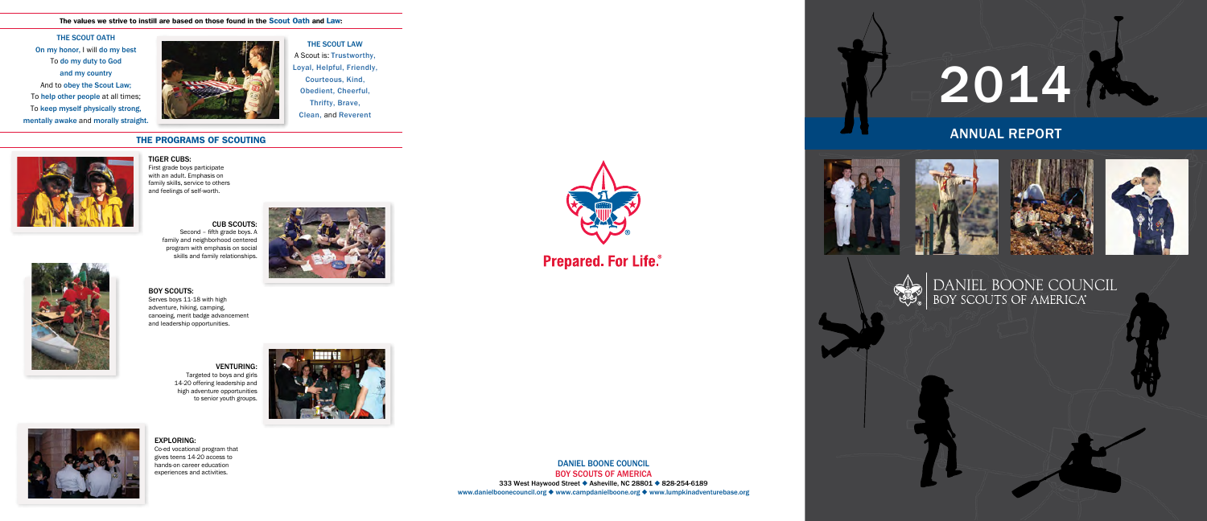# THE PROGRAMS OF SCOUTING



THE SCOUT LAW A Scout is: Trustworthy, Loyal, Helpful, Friendly, Courteous, Kind, Obedient, Cheerful, Thrifty, Brave, Clean, and Reverent

### The values we strive to instill are based on those found in the Scout Oath and Law:

THE SCOUT OATH On my honor, I will do my best To do my duty to God and my country And to obey the Scout Law; To help other people at all times; To keep myself physically strong, mentally awake and morally straight.



### EXPLORING:

Co-ed vocational program that gives teens 14-20 access to hands-on career education experiences and activities.

DANIEL BOONE COUNCIL BOY SCOUTS OF AMERICA 333 West Haywood Street • Asheville, NC 28801 • 828-254-6189 www.danielboonecouncil.org  $\blacklozenge$  www.campdanielboone.org  $\blacklozenge$  www.lumpkinadventurebase.org

# 2014

VENTURING: Targeted to boys and girls 14-20 offering leadership and high adventure opportunities to senior youth groups.





### BOY SCOUTS:

Serves boys 11-18 with high adventure, hiking, camping, canoeing, merit badge advancement and leadership opportunities.

### TIGER CUBS:

First grade boys participate with an adult. Emphasis on family skills, service to others and feelings of self-worth.

### CUB SCOUTS:

Second – fifth grade boys. A family and neighborhood centered program with emphasis on social skills and family relationships.







# ANNUAL REPORT



RING







DANIEL BOONE COUNCIL<br>BOY SCOUTS OF AMERICA®